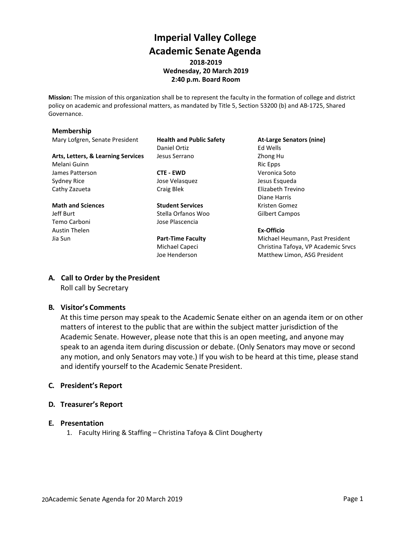# **Imperial Valley College Academic SenateAgenda 2018-2019 Wednesday, 20 March 2019**

**2:40 p.m. Board Room**

**Mission:** The mission of this organization shall be to represent the faculty in the formation of college and district policy on academic and professional matters, as mandated by Title 5, Section 53200 (b) and AB-1725, Shared Governance.

#### **Membership**

Mary Lofgren, Senate President **Health and Public Safety At-Large Senators (nine)**

**Arts, Letters, & Learning Services** Jesus Serrano **Lack Constants Article 25 and Article 25 and Zhong Hu** Melani Guinn **Ric Epps** and Ric Epps and Ric Epps and Ric Epps and Ric Epps and Ric Epps and Ric Epps and Ric Epps and Ric Epps and Ric Epps and Ric Epps and Ric Epps and Ric Epps and Ric Epps and Ric Epps and Ric Epps and James Patterson **CTE - EWD** Veronica Soto Sydney Rice **Symphony** Jose Velasquez **Jose Velasquez** Jesus Esqueda Cathy Zazueta **Craig Blek** Craig Blek Elizabeth Trevino

**Math and Sciences Student Services Student Services** Kristen Gomez Jeff Burt **Stella Orfanos Woo** Gilbert Campos Temo Carboni Jose Plascencia Austin Thelen **Ex-Officio**

Daniel Ortiz **Ed Wells** 

Diane Harris

Jia Sun **Part-Time Faculty** Michael Heumann, Past President Michael Capeci Christina Tafoya, VP Academic Srvcs Joe Henderson Matthew Limon, ASG President

#### **A. Call to Order by the President**

Roll call by Secretary

#### **B. Visitor's Comments**

At this time person may speak to the Academic Senate either on an agenda item or on other matters of interest to the public that are within the subject matter jurisdiction of the Academic Senate. However, please note that this is an open meeting, and anyone may speak to an agenda item during discussion or debate. (Only Senators may move or second any motion, and only Senators may vote.) If you wish to be heard at this time, please stand and identify yourself to the Academic Senate President.

#### **C. President's Report**

#### **D. Treasurer's Report**

#### **E. Presentation**

1. Faculty Hiring & Staffing – Christina Tafoya & Clint Dougherty